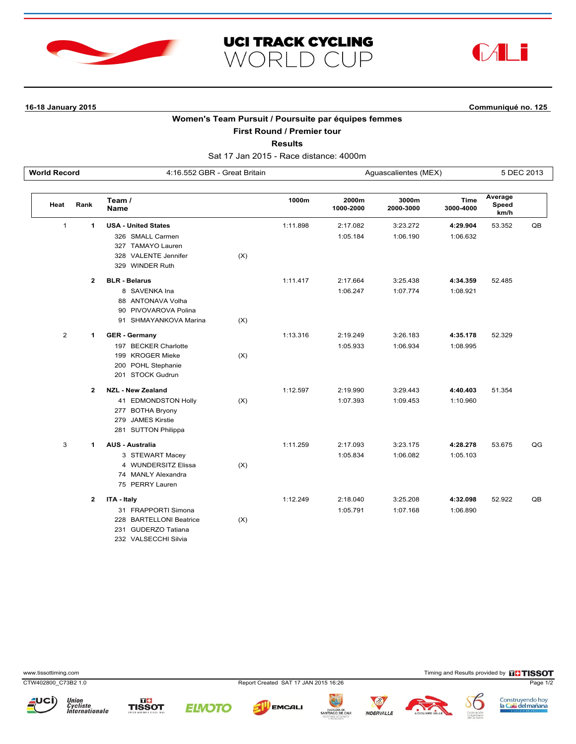





**16-18 January 2015 Communiqué no. 125**

## **Women's Team Pursuit / Poursuite par équipes femmes**

**First Round / Premier tour**

**Results**

Sat 17 Jan 2015 - Race distance: 4000m

| <b>World Record</b> |                | 4:16.552 GBR - Great Britain |     |          | Aguascalientes (MEX) |                    |                   | 5 DEC 2013               |    |
|---------------------|----------------|------------------------------|-----|----------|----------------------|--------------------|-------------------|--------------------------|----|
| Heat                | Rank           | Team /<br><b>Name</b>        |     | 1000m    | 2000m<br>1000-2000   | 3000m<br>2000-3000 | Time<br>3000-4000 | Average<br>Speed<br>km/h |    |
| $\mathbf{1}$        | 1              | <b>USA - United States</b>   |     | 1:11.898 | 2:17.082             | 3:23.272           | 4:29.904          | 53.352                   | QB |
|                     |                | 326 SMALL Carmen             |     |          | 1:05.184             | 1:06.190           | 1:06.632          |                          |    |
|                     |                | 327 TAMAYO Lauren            |     |          |                      |                    |                   |                          |    |
|                     |                | 328 VALENTE Jennifer         | (X) |          |                      |                    |                   |                          |    |
|                     |                | 329 WINDER Ruth              |     |          |                      |                    |                   |                          |    |
|                     | $\overline{2}$ | <b>BLR - Belarus</b>         |     | 1:11.417 | 2:17.664             | 3:25.438           | 4:34.359          | 52.485                   |    |
|                     |                | 8 SAVENKA Ina                |     |          | 1:06.247             | 1:07.774           | 1:08.921          |                          |    |
|                     |                | 88 ANTONAVA Volha            |     |          |                      |                    |                   |                          |    |
|                     |                | 90 PIVOVAROVA Polina         |     |          |                      |                    |                   |                          |    |
|                     |                | 91 SHMAYANKOVA Marina        | (X) |          |                      |                    |                   |                          |    |
| $\overline{2}$      | 1              | <b>GER</b> - Germany         |     | 1:13.316 | 2:19.249             | 3:26.183           | 4:35.178          | 52.329                   |    |
|                     |                | 197 BECKER Charlotte         |     |          | 1:05.933             | 1:06.934           | 1:08.995          |                          |    |
|                     |                | 199 KROGER Mieke             | (X) |          |                      |                    |                   |                          |    |
|                     |                | 200 POHL Stephanie           |     |          |                      |                    |                   |                          |    |
|                     |                | 201 STOCK Gudrun             |     |          |                      |                    |                   |                          |    |
|                     | $\overline{2}$ | <b>NZL - New Zealand</b>     |     | 1:12.597 | 2:19.990             | 3:29.443           | 4:40.403          | 51.354                   |    |
|                     |                | 41 EDMONDSTON Holly          | (X) |          | 1:07.393             | 1:09.453           | 1:10.960          |                          |    |
|                     |                | 277 BOTHA Bryony             |     |          |                      |                    |                   |                          |    |
|                     |                | 279 JAMES Kirstie            |     |          |                      |                    |                   |                          |    |
|                     |                | 281 SUTTON Philippa          |     |          |                      |                    |                   |                          |    |
| 3                   | 1              | <b>AUS - Australia</b>       |     | 1:11.259 | 2:17.093             | 3:23.175           | 4:28.278          | 53.675                   | QG |
|                     |                | 3 STEWART Macey              |     |          | 1:05.834             | 1:06.082           | 1:05.103          |                          |    |
|                     |                | 4 WUNDERSITZ Elissa          | (X) |          |                      |                    |                   |                          |    |
|                     |                | 74 MANLY Alexandra           |     |          |                      |                    |                   |                          |    |
|                     |                | 75 PERRY Lauren              |     |          |                      |                    |                   |                          |    |
|                     | $\overline{2}$ | ITA - Italy                  |     | 1:12.249 | 2:18.040             | 3:25.208           | 4:32.098          | 52.922                   | QB |
|                     |                | 31 FRAPPORTI Simona          |     |          | 1:05.791             | 1:07.168           | 1:06.890          |                          |    |
|                     |                | 228 BARTELLONI Beatrice      | (X) |          |                      |                    |                   |                          |    |
|                     |                | 231 GUDERZO Tatiana          |     |          |                      |                    |                   |                          |    |
|                     |                | 232 VALSECCHI Silvia         |     |          |                      |                    |                   |                          |    |

www.tissottiming.com **EXECUTES CONTEXT CONTEXT** Timing and Results provided by **EXECUTES CONTEXT AND RESULTS SO TIMING** 

CTW402800\_C73B2 1.0 Report Created SAT 17 JAN 2015 16:26 Page 1/2





**ELNOTO** 







Construyendo hoy<br>l<mark>a Cali del mañana</mark>

**INDERVALLE**